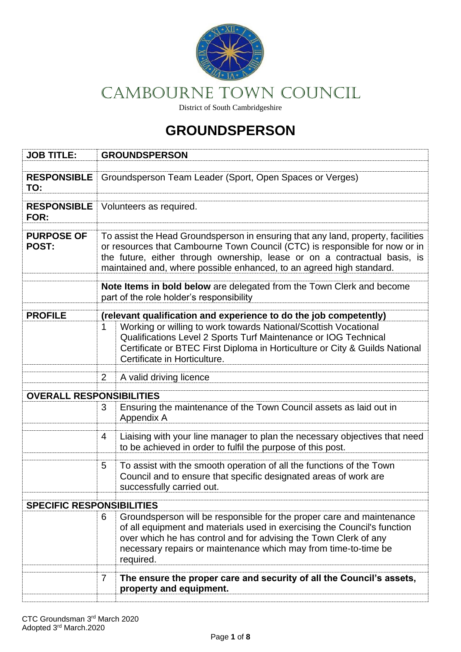

# CAMBOURNE Town COUNCIL

District of South Cambridgeshire

## **GROUNDSPERSON**

| <b>JOB TITLE:</b>                | <b>GROUNDSPERSON</b>                                                                                                                                                                                                                                                                                                 |                                                                                                                                                                                                                                                                                          |  |  |
|----------------------------------|----------------------------------------------------------------------------------------------------------------------------------------------------------------------------------------------------------------------------------------------------------------------------------------------------------------------|------------------------------------------------------------------------------------------------------------------------------------------------------------------------------------------------------------------------------------------------------------------------------------------|--|--|
| <b>RESPONSIBLE</b><br>TO:        | Groundsperson Team Leader (Sport, Open Spaces or Verges)                                                                                                                                                                                                                                                             |                                                                                                                                                                                                                                                                                          |  |  |
| <b>RESPONSIBLE</b><br>FOR:       | Volunteers as required.                                                                                                                                                                                                                                                                                              |                                                                                                                                                                                                                                                                                          |  |  |
| <b>PURPOSE OF</b><br>POST:       | To assist the Head Groundsperson in ensuring that any land, property, facilities<br>or resources that Cambourne Town Council (CTC) is responsible for now or in<br>the future, either through ownership, lease or on a contractual basis, is<br>maintained and, where possible enhanced, to an agreed high standard. |                                                                                                                                                                                                                                                                                          |  |  |
|                                  | Note Items in bold below are delegated from the Town Clerk and become<br>part of the role holder's responsibility                                                                                                                                                                                                    |                                                                                                                                                                                                                                                                                          |  |  |
| <b>PROFILE</b>                   | (relevant qualification and experience to do the job competently)                                                                                                                                                                                                                                                    |                                                                                                                                                                                                                                                                                          |  |  |
|                                  |                                                                                                                                                                                                                                                                                                                      | Working or willing to work towards National/Scottish Vocational<br>Qualifications Level 2 Sports Turf Maintenance or IOG Technical<br>Certificate or BTEC First Diploma in Horticulture or City & Guilds National<br>Certificate in Horticulture.                                        |  |  |
|                                  | 2                                                                                                                                                                                                                                                                                                                    | A valid driving licence                                                                                                                                                                                                                                                                  |  |  |
| <b>OVERALL RESPONSIBILITIES</b>  |                                                                                                                                                                                                                                                                                                                      |                                                                                                                                                                                                                                                                                          |  |  |
|                                  | 3<br>Appendix A                                                                                                                                                                                                                                                                                                      | Ensuring the maintenance of the Town Council assets as laid out in                                                                                                                                                                                                                       |  |  |
|                                  | 4                                                                                                                                                                                                                                                                                                                    | Liaising with your line manager to plan the necessary objectives that need<br>to be achieved in order to fulfil the purpose of this post.                                                                                                                                                |  |  |
|                                  | 5                                                                                                                                                                                                                                                                                                                    | To assist with the smooth operation of all the functions of the Town<br>Council and to ensure that specific designated areas of work are<br>successfully carried out.                                                                                                                    |  |  |
| <b>SPECIFIC RESPONSIBILITIES</b> |                                                                                                                                                                                                                                                                                                                      |                                                                                                                                                                                                                                                                                          |  |  |
|                                  | 6<br>required.                                                                                                                                                                                                                                                                                                       | Groundsperson will be responsible for the proper care and maintenance<br>of all equipment and materials used in exercising the Council's function<br>over which he has control and for advising the Town Clerk of any<br>necessary repairs or maintenance which may from time-to-time be |  |  |
|                                  | 7                                                                                                                                                                                                                                                                                                                    | The ensure the proper care and security of all the Council's assets,                                                                                                                                                                                                                     |  |  |
|                                  |                                                                                                                                                                                                                                                                                                                      | property and equipment.                                                                                                                                                                                                                                                                  |  |  |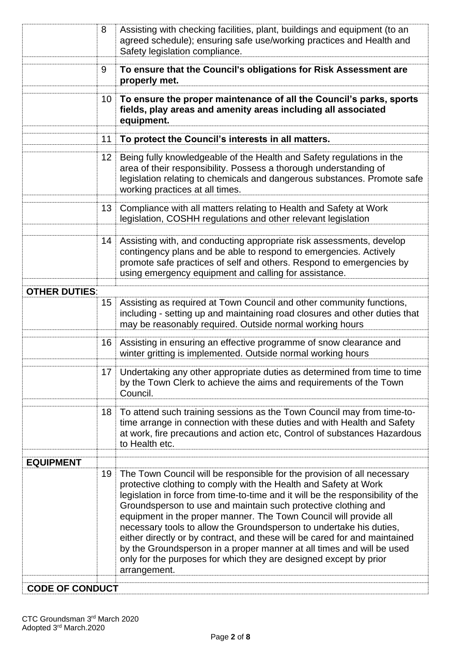|                        | 8               | Assisting with checking facilities, plant, buildings and equipment (to an<br>agreed schedule); ensuring safe use/working practices and Health and<br>Safety legislation compliance.                                                                                                                                                                                                                                                                                                                                                                                                                                                                                                      |
|------------------------|-----------------|------------------------------------------------------------------------------------------------------------------------------------------------------------------------------------------------------------------------------------------------------------------------------------------------------------------------------------------------------------------------------------------------------------------------------------------------------------------------------------------------------------------------------------------------------------------------------------------------------------------------------------------------------------------------------------------|
|                        | 9               | To ensure that the Council's obligations for Risk Assessment are<br>properly met.                                                                                                                                                                                                                                                                                                                                                                                                                                                                                                                                                                                                        |
|                        | 10              | To ensure the proper maintenance of all the Council's parks, sports<br>fields, play areas and amenity areas including all associated<br>equipment.                                                                                                                                                                                                                                                                                                                                                                                                                                                                                                                                       |
|                        | 11              | To protect the Council's interests in all matters.                                                                                                                                                                                                                                                                                                                                                                                                                                                                                                                                                                                                                                       |
|                        | 12              | Being fully knowledgeable of the Health and Safety regulations in the<br>area of their responsibility. Possess a thorough understanding of<br>legislation relating to chemicals and dangerous substances. Promote safe<br>working practices at all times.                                                                                                                                                                                                                                                                                                                                                                                                                                |
|                        | 13 <sup>°</sup> | Compliance with all matters relating to Health and Safety at Work<br>legislation, COSHH regulations and other relevant legislation                                                                                                                                                                                                                                                                                                                                                                                                                                                                                                                                                       |
|                        | 14              | Assisting with, and conducting appropriate risk assessments, develop<br>contingency plans and be able to respond to emergencies. Actively<br>promote safe practices of self and others. Respond to emergencies by<br>using emergency equipment and calling for assistance.                                                                                                                                                                                                                                                                                                                                                                                                               |
| <b>OTHER DUTIES:</b>   |                 |                                                                                                                                                                                                                                                                                                                                                                                                                                                                                                                                                                                                                                                                                          |
|                        | $15\,$          | Assisting as required at Town Council and other community functions,<br>including - setting up and maintaining road closures and other duties that<br>may be reasonably required. Outside normal working hours                                                                                                                                                                                                                                                                                                                                                                                                                                                                           |
|                        | 16              | Assisting in ensuring an effective programme of snow clearance and<br>winter gritting is implemented. Outside normal working hours                                                                                                                                                                                                                                                                                                                                                                                                                                                                                                                                                       |
|                        |                 | 17   Undertaking any other appropriate duties as determined from time to time<br>by the Town Clerk to achieve the aims and requirements of the Town<br>Council.                                                                                                                                                                                                                                                                                                                                                                                                                                                                                                                          |
|                        | 18              | To attend such training sessions as the Town Council may from time-to-<br>time arrange in connection with these duties and with Health and Safety<br>at work, fire precautions and action etc, Control of substances Hazardous<br>to Health etc.                                                                                                                                                                                                                                                                                                                                                                                                                                         |
| <b>EQUIPMENT</b>       |                 |                                                                                                                                                                                                                                                                                                                                                                                                                                                                                                                                                                                                                                                                                          |
|                        | 19              | The Town Council will be responsible for the provision of all necessary<br>protective clothing to comply with the Health and Safety at Work<br>legislation in force from time-to-time and it will be the responsibility of the<br>Groundsperson to use and maintain such protective clothing and<br>equipment in the proper manner. The Town Council will provide all<br>necessary tools to allow the Groundsperson to undertake his duties,<br>either directly or by contract, and these will be cared for and maintained<br>by the Groundsperson in a proper manner at all times and will be used<br>only for the purposes for which they are designed except by prior<br>arrangement. |
| <b>CODE OF CONDUCT</b> |                 |                                                                                                                                                                                                                                                                                                                                                                                                                                                                                                                                                                                                                                                                                          |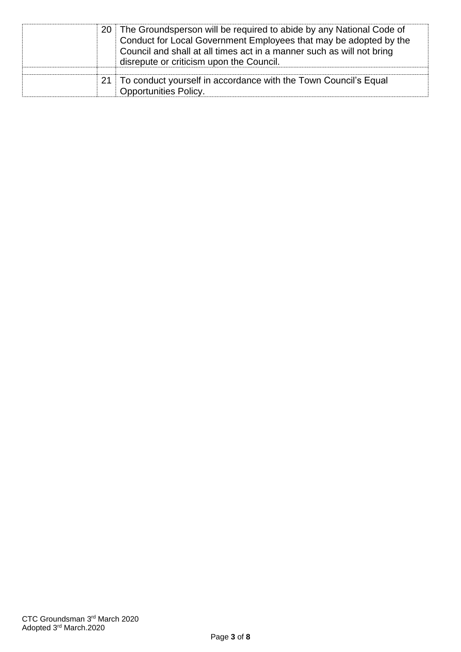|  | 20 The Groundsperson will be required to abide by any National Code of<br>Conduct for Local Government Employees that may be adopted by the<br>Council and shall at all times act in a manner such as will not bring<br>disrepute or criticism upon the Council. |
|--|------------------------------------------------------------------------------------------------------------------------------------------------------------------------------------------------------------------------------------------------------------------|
|  | 21 To conduct yourself in accordance with the Town Council's Equal<br><b>Opportunities Policy.</b>                                                                                                                                                               |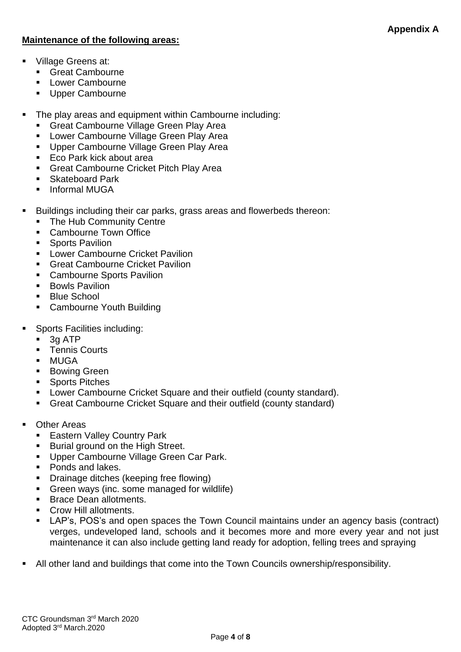#### **Maintenance of the following areas:**

- Village Greens at:
	- Great Cambourne
	- Lower Cambourne
	- Upper Cambourne
- The play areas and equipment within Cambourne including:
	- **Great Cambourne Village Green Play Area**
	- **E** Lower Cambourne Village Green Play Area
	- Upper Cambourne Village Green Play Area
	- Eco Park kick about area
	- **Great Cambourne Cricket Pitch Play Area**
	- Skateboard Park
	- Informal MUGA
- Buildings including their car parks, grass areas and flowerbeds thereon:
	- The Hub Community Centre
	- Cambourne Town Office
	- Sports Pavilion
	- Lower Cambourne Cricket Pavilion
	- Great Cambourne Cricket Pavilion
	- Cambourne Sports Pavilion
	- Bowls Pavilion
	- Blue School
	- Cambourne Youth Building
- Sports Facilities including:
	- 3g ATP
	- Tennis Courts
	- MUGA
	- Bowing Green
	- Sports Pitches
	- Lower Cambourne Cricket Square and their outfield (county standard).
	- Great Cambourne Cricket Square and their outfield (county standard)
- Other Areas
	- Eastern Valley Country Park
	- Burial ground on the High Street.
	- **■** Upper Cambourne Village Green Car Park.
	- Ponds and lakes.
	- **•** Drainage ditches (keeping free flowing)
	- **•** Green ways (inc. some managed for wildlife)
	- Brace Dean allotments.
	- Crow Hill allotments.
	- LAP's, POS's and open spaces the Town Council maintains under an agency basis (contract) verges, undeveloped land, schools and it becomes more and more every year and not just maintenance it can also include getting land ready for adoption, felling trees and spraying
- All other land and buildings that come into the Town Councils ownership/responsibility.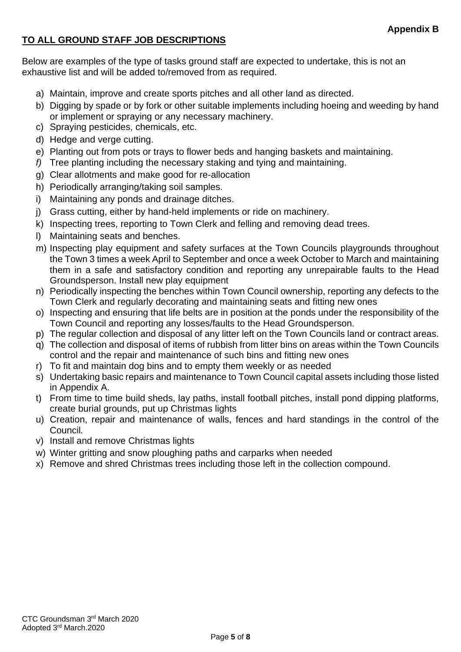#### **TO ALL GROUND STAFF JOB DESCRIPTIONS**

Below are examples of the type of tasks ground staff are expected to undertake, this is not an exhaustive list and will be added to/removed from as required.

- a) Maintain, improve and create sports pitches and all other land as directed.
- b) Digging by spade or by fork or other suitable implements including hoeing and weeding by hand or implement or spraying or any necessary machinery.
- c) Spraying pesticides, chemicals, etc.
- d) Hedge and verge cutting.
- e) Planting out from pots or trays to flower beds and hanging baskets and maintaining.
- *f)* Tree planting including the necessary staking and tying and maintaining.
- g) Clear allotments and make good for re-allocation
- h) Periodically arranging/taking soil samples.
- i) Maintaining any ponds and drainage ditches.
- j) Grass cutting, either by hand-held implements or ride on machinery.
- k) Inspecting trees, reporting to Town Clerk and felling and removing dead trees.
- l) Maintaining seats and benches.
- m) Inspecting play equipment and safety surfaces at the Town Councils playgrounds throughout the Town 3 times a week April to September and once a week October to March and maintaining them in a safe and satisfactory condition and reporting any unrepairable faults to the Head Groundsperson. Install new play equipment
- n) Periodically inspecting the benches within Town Council ownership, reporting any defects to the Town Clerk and regularly decorating and maintaining seats and fitting new ones
- o) Inspecting and ensuring that life belts are in position at the ponds under the responsibility of the Town Council and reporting any losses/faults to the Head Groundsperson.
- p) The regular collection and disposal of any litter left on the Town Councils land or contract areas.
- q) The collection and disposal of items of rubbish from litter bins on areas within the Town Councils control and the repair and maintenance of such bins and fitting new ones
- r) To fit and maintain dog bins and to empty them weekly or as needed
- s) Undertaking basic repairs and maintenance to Town Council capital assets including those listed in Appendix A.
- t) From time to time build sheds, lay paths, install football pitches, install pond dipping platforms, create burial grounds, put up Christmas lights
- u) Creation, repair and maintenance of walls, fences and hard standings in the control of the Council*.*
- v) Install and remove Christmas lights
- w) Winter gritting and snow ploughing paths and carparks when needed
- x) Remove and shred Christmas trees including those left in the collection compound.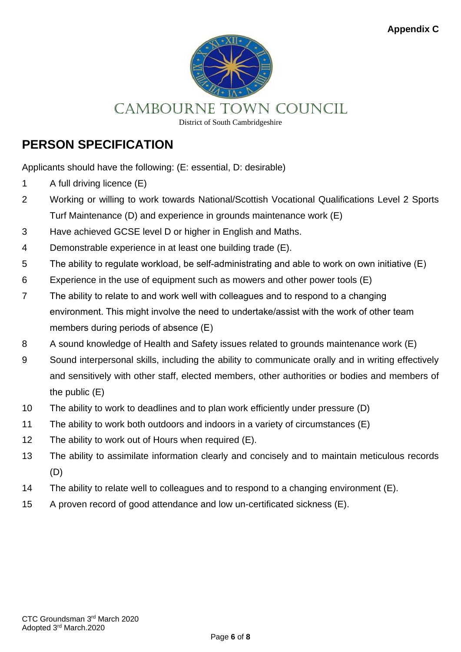

CAMBOURNE Town COUNCIL

District of South Cambridgeshire

## **PERSON SPECIFICATION**

Applicants should have the following: (E: essential, D: desirable)

- 1 A full driving licence (E)
- 2 Working or willing to work towards National/Scottish Vocational Qualifications Level 2 Sports Turf Maintenance (D) and experience in grounds maintenance work (E)
- 3 Have achieved GCSE level D or higher in English and Maths.
- 4 Demonstrable experience in at least one building trade (E).
- 5 The ability to regulate workload, be self-administrating and able to work on own initiative (E)
- 6 Experience in the use of equipment such as mowers and other power tools (E)
- 7 The ability to relate to and work well with colleagues and to respond to a changing environment. This might involve the need to undertake/assist with the work of other team members during periods of absence (E)
- 8 A sound knowledge of Health and Safety issues related to grounds maintenance work (E)
- 9 Sound interpersonal skills, including the ability to communicate orally and in writing effectively and sensitively with other staff, elected members, other authorities or bodies and members of the public (E)
- 10 The ability to work to deadlines and to plan work efficiently under pressure (D)
- 11 The ability to work both outdoors and indoors in a variety of circumstances (E)
- 12 The ability to work out of Hours when required (E).
- 13 The ability to assimilate information clearly and concisely and to maintain meticulous records (D)
- 14 The ability to relate well to colleagues and to respond to a changing environment (E).
- 15 A proven record of good attendance and low un-certificated sickness (E).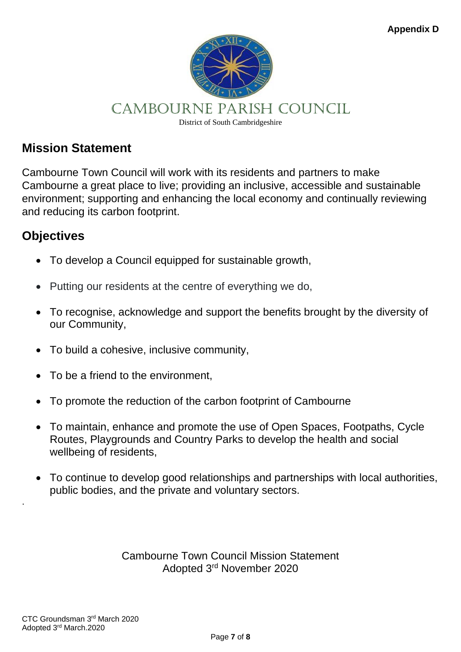

## CAMBOURNE PARISH COUNCIL

District of South Cambridgeshire

### **Mission Statement**

Cambourne Town Council will work with its residents and partners to make Cambourne a great place to live; providing an inclusive, accessible and sustainable environment; supporting and enhancing the local economy and continually reviewing and reducing its carbon footprint.

### **Objectives**

- To develop a Council equipped for sustainable growth,
- Putting our residents at the centre of everything we do,
- To recognise, acknowledge and support the benefits brought by the diversity of our Community,
- To build a cohesive, inclusive community,
- To be a friend to the environment,
- To promote the reduction of the carbon footprint of Cambourne
- To maintain, enhance and promote the use of Open Spaces, Footpaths, Cycle Routes, Playgrounds and Country Parks to develop the health and social wellbeing of residents,
- To continue to develop good relationships and partnerships with local authorities, public bodies, and the private and voluntary sectors.

Cambourne Town Council Mission Statement Adopted 3rd November 2020

.